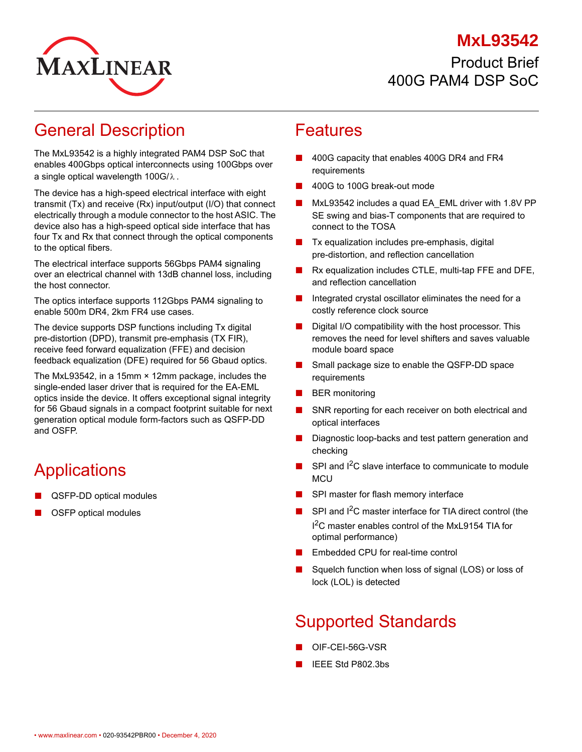#### **MxL93542**



### Product Brief 400G PAM4 DSP SoC

## General Description

The MxL93542 is a highly integrated PAM4 DSP SoC that enables 400Gbps optical interconnects using 100Gbps over a single optical wavelength 100G/ $\lambda$  .

The device has a high-speed electrical interface with eight transmit (Tx) and receive (Rx) input/output (I/O) that connect electrically through a module connector to the host ASIC. The device also has a high-speed optical side interface that has four Tx and Rx that connect through the optical components to the optical fibers.

The electrical interface supports 56Gbps PAM4 signaling over an electrical channel with 13dB channel loss, including the host connector.

The optics interface supports 112Gbps PAM4 signaling to enable 500m DR4, 2km FR4 use cases.

The device supports DSP functions including Tx digital pre-distortion (DPD), transmit pre-emphasis (TX FIR), receive feed forward equalization (FFE) and decision feedback equalization (DFE) required for 56 Gbaud optics.

The MxL93542, in a 15mm × 12mm package, includes the single-ended laser driver that is required for the EA-EML optics inside the device. It offers exceptional signal integrity for 56 Gbaud signals in a compact footprint suitable for next generation optical module form-factors such as QSFP-DD and OSFP.

# **Applications**

- QSFP-DD optical modules
- OSFP optical modules

#### Features

- 400G capacity that enables 400G DR4 and FR4 requirements
- 400G to 100G break-out mode
- MxL93542 includes a quad EA\_EML driver with 1.8V PP SE swing and bias-T components that are required to connect to the TOSA
- Tx equalization includes pre-emphasis, digital pre-distortion, and reflection cancellation
- Rx equalization includes CTLE, multi-tap FFE and DFE, and reflection cancellation
- Integrated crystal oscillator eliminates the need for a costly reference clock source
- Digital I/O compatibility with the host processor. This removes the need for level shifters and saves valuable module board space
- Small package size to enable the QSFP-DD space requirements
- **BER** monitoring
- SNR reporting for each receiver on both electrical and optical interfaces
- Diagnostic loop-backs and test pattern generation and checking
- $\blacksquare$  SPI and I<sup>2</sup>C slave interface to communicate to module **MCU**
- SPI master for flash memory interface
- SPI and I<sup>2</sup>C master interface for TIA direct control (the I<sup>2</sup>C master enables control of the MxL9154 TIA for optimal performance)
- Embedded CPU for real-time control
- Squelch function when loss of signal (LOS) or loss of lock (LOL) is detected

## Supported Standards

- OIF-CEI-56G-VSR
- IEEE Std P802.3bs